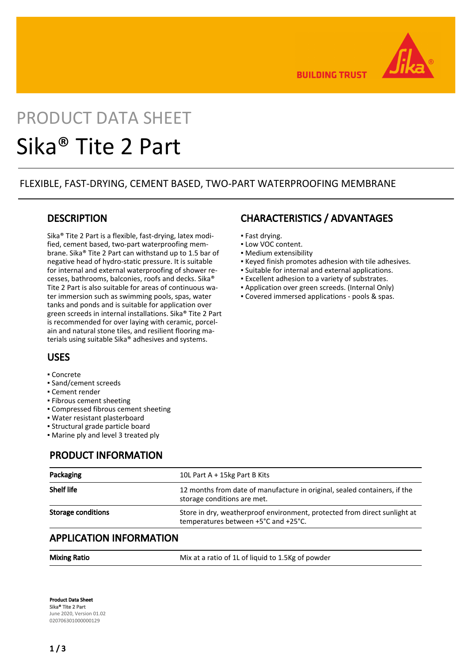

**BUILDING TRUST** 

# PRODUCT DATA SHEET Sika® Tite 2 Part

## FLEXIBLE, FAST-DRYING, CEMENT BASED, TWO-PART WATERPROOFING MEMBRANE

## **DESCRIPTION**

Sika® Tite 2 Part is a flexible, fast-drying, latex modified, cement based, two-part waterproofing membrane. Sika® Tite 2 Part can withstand up to 1.5 bar of negative head of hydro-static pressure. It is suitable for internal and external waterproofing of shower recesses, bathrooms, balconies, roofs and decks. Sika® Tite 2 Part is also suitable for areas of continuous water immersion such as swimming pools, spas, water tanks and ponds and is suitable for application over green screeds in internal installations. Sika® Tite 2 Part is recommended for over laying with ceramic, porcelain and natural stone tiles, and resilient flooring materials using suitable Sika® adhesives and systems.

# USES

- Concrete
- Sand/cement screeds
- Cement render
- Fibrous cement sheeting
- Compressed fibrous cement sheeting
- Water resistant plasterboard
- Structural grade particle board
- Marine ply and level 3 treated ply

## PRODUCT INFORMATION

| Packaging                 | 10L Part A + 15kg Part B Kits                                                                                     |
|---------------------------|-------------------------------------------------------------------------------------------------------------------|
| <b>Shelf life</b>         | 12 months from date of manufacture in original, sealed containers, if the<br>storage conditions are met.          |
| <b>Storage conditions</b> | Store in dry, weatherproof environment, protected from direct sunlight at<br>temperatures between +5°C and +25°C. |

## APPLICATION INFORMATION

Mixing Ratio Mix at a ratio of 1L of liquid to 1.5Kg of powder

Product Data Sheet Sika® Tite 2 Part June 2020, Version 01.02 020706301000000129

# CHARACTERISTICS / ADVANTAGES

- Fast drying.
- Low VOC content.
- Medium extensibility
- Keyed finish promotes adhesion with tile adhesives.
- Suitable for internal and external applications.
- Excellent adhesion to a variety of substrates.
- Application over green screeds. (Internal Only)
- Covered immersed applications pools & spas.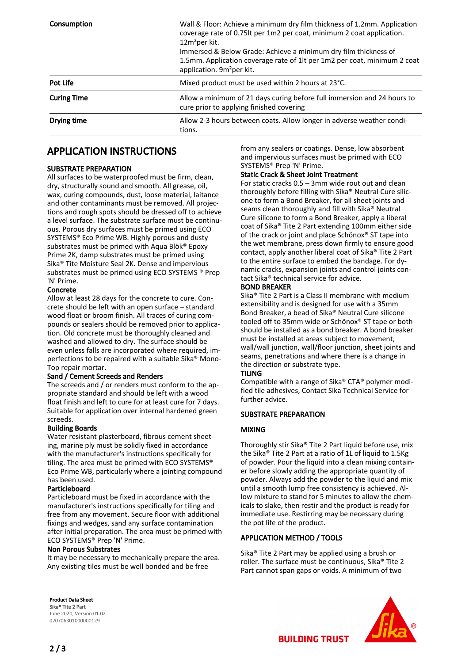| <b>Consumption</b> | Wall & Floor: Achieve a minimum dry film thickness of 1.2mm. Application<br>coverage rate of 0.75lt per 1m2 per coat, minimum 2 coat application.<br>$12m^2$ per kit.<br>Immersed & Below Grade: Achieve a minimum dry film thickness of<br>1.5mm. Application coverage rate of 1lt per 1m2 per coat, minimum 2 coat<br>application. 9m <sup>2</sup> per kit. |
|--------------------|---------------------------------------------------------------------------------------------------------------------------------------------------------------------------------------------------------------------------------------------------------------------------------------------------------------------------------------------------------------|
| Pot Life           | Mixed product must be used within 2 hours at 23°C.                                                                                                                                                                                                                                                                                                            |
| <b>Curing Time</b> | Allow a minimum of 21 days curing before full immersion and 24 hours to<br>cure prior to applying finished covering                                                                                                                                                                                                                                           |
| Drying time        | Allow 2-3 hours between coats. Allow longer in adverse weather condi-<br>tions.                                                                                                                                                                                                                                                                               |

## APPLICATION INSTRUCTIONS

#### SUBSTRATE PREPARATION

All surfaces to be waterproofed must be firm, clean, dry, structurally sound and smooth. All grease, oil, wax, curing compounds, dust, loose material, laitance and other contaminants must be removed. All projections and rough spots should be dressed off to achieve a level surface. The substrate surface must be continuous. Porous dry surfaces must be primed using ECO SYSTEMS® Eco Prime WB. Highly porous and dusty substrates must be primed with Aqua Blök® Epoxy Prime 2K, damp substrates must be primed using Sika® Tite Moisture Seal 2K. Dense and impervious substrates must be primed using ECO SYSTEMS ® Prep 'N' Prime.

#### Concrete

Allow at least 28 days for the concrete to cure. Concrete should be left with an open surface – standard wood float or broom finish. All traces of curing compounds or sealers should be removed prior to application. Old concrete must be thoroughly cleaned and washed and allowed to dry. The surface should be even unless falls are incorporated where required, imperfections to be repaired with a suitable Sika® Mono-Top repair mortar.

#### Sand / Cement Screeds and Renders

The screeds and / or renders must conform to the appropriate standard and should be left with a wood float finish and left to cure for at least cure for 7 days. Suitable for application over internal hardened green screeds.

#### Building Boards

Water resistant plasterboard, fibrous cement sheeting, marine ply must be solidly fixed in accordance with the manufacturer's instructions specifically for tiling. The area must be primed with ECO SYSTEMS® Eco Prime WB, particularly where a jointing compound has been used.

#### Particleboard

Particleboard must be fixed in accordance with the manufacturer's instructions specifically for tiling and free from any movement. Secure floor with additional fixings and wedges, sand any surface contamination after initial preparation. The area must be primed with ECO SYSTEMS® Prep 'N' Prime.

#### Non Porous Substrates

It may be necessary to mechanically prepare the area. Any existing tiles must be well bonded and be free

from any sealers or coatings. Dense, low absorbent and impervious surfaces must be primed with ECO SYSTEMS® Prep 'N' Prime.

#### Static Crack & Sheet Joint Treatment

For static cracks 0.5 – 3mm wide rout out and clean thoroughly before filling with Sika® Neutral Cure silicone to form a Bond Breaker, for all sheet joints and seams clean thoroughly and fill with Sika® Neutral Cure silicone to form a Bond Breaker, apply a liberal coat of Sika® Tite 2 Part extending 100mm either side of the crack or joint and place Schönox® ST tape into the wet membrane, press down firmly to ensure good contact, apply another liberal coat of Sika® Tite 2 Part to the entire surface to embed the bandage. For dynamic cracks, expansion joints and control joints contact Sika® technical service for advice.

#### BOND BREAKER

Sika® Tite 2 Part is a Class II membrane with medium extensibility and is designed for use with a 35mm Bond Breaker, a bead of Sika® Neutral Cure silicone tooled off to 35mm wide or Schönox® ST tape or both should be installed as a bond breaker. A bond breaker must be installed at areas subject to movement, wall/wall junction, wall/floor junction, sheet joints and seams, penetrations and where there is a change in the direction or substrate type.

#### TILING

Compatible with a range of Sika® CTA® polymer modified tile adhesives, Contact Sika Technical Service for further advice.

#### SUBSTRATE PREPARATION

#### MIXING

Thoroughly stir Sika® Tite 2 Part liquid before use, mix the Sika® Tite 2 Part at a ratio of 1L of liquid to 1.5Kg of powder. Pour the liquid into a clean mixing container before slowly adding the appropriate quantity of powder. Always add the powder to the liquid and mix until a smooth lump free consistency is achieved. Allow mixture to stand for 5 minutes to allow the chemicals to slake, then restir and the product is ready for immediate use. Restirring may be necessary during the pot life of the product.

#### APPLICATION METHOD / TOOLS

Sika® Tite 2 Part may be applied using a brush or roller. The surface must be continuous, Sika® Tite 2 Part cannot span gaps or voids. A minimum of two

Product Data Sheet Sika® Tite 2 Part June 2020, Version 01.02 020706301000000129



2 / 3

**BUILDING TRUST**